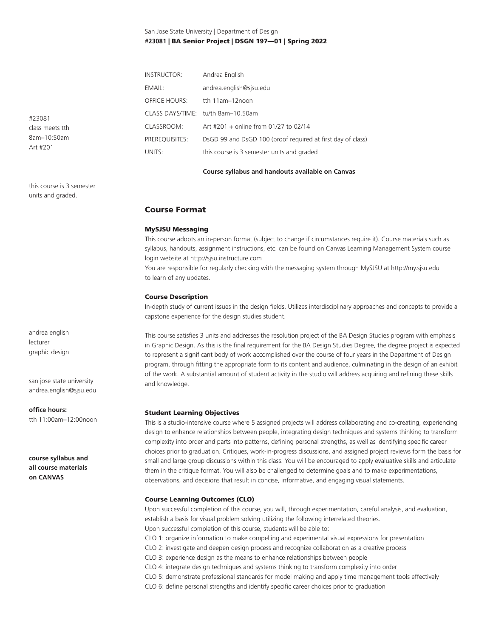## San Jose State University | Department of Design **#23081** | BA Senior Project | DSGN 197—01 | Spring 2022

| <b>INSTRUCTOR:</b>   | Andrea English                                              |  |  |
|----------------------|-------------------------------------------------------------|--|--|
| EMAIL:               | andrea.english@sjsu.edu                                     |  |  |
| <b>OFFICE HOURS:</b> | tth $11am-12noon$                                           |  |  |
|                      | CLASS DAYS/TIME: tu/th 8am-10.50am                          |  |  |
| CLASSROOM:           | Art #201 + online from 01/27 to 02/14                       |  |  |
| PREREOUISITES:       | DsGD 99 and DsGD 100 (proof required at first day of class) |  |  |
| UNITS:               | this course is 3 semester units and graded                  |  |  |

#### **Course syllabus and handouts available on Canvas**

## Course Format

## MySJSU Messaging

This course adopts an in-person format (subject to change if circumstances require it). Course materials such as syllabus, handouts, assignment instructions, etc. can be found on Canvas Learning Management System course login website at http://sjsu.instructure.com

You are responsible for regularly checking with the messaging system through MySJSU at http://my.sjsu.edu to learn of any updates.

#### Course Description

In-depth study of current issues in the design fields. Utilizes interdisciplinary approaches and concepts to provide a capstone experience for the design studies student.

This course satisfies 3 units and addresses the resolution project of the BA Design Studies program with emphasis in Graphic Design. As this is the final requirement for the BA Design Studies Degree, the degree project is expected to represent a significant body of work accomplished over the course of four years in the Department of Design program, through fitting the appropriate form to its content and audience, culminating in the design of an exhibit of the work. A substantial amount of student activity in the studio will address acquiring and refining these skills and knowledge.

#### Student Learning Objectives

This is a studio-intensive course where 5 assigned projects will address collaborating and co-creating, experiencing design to enhance relationships between people, integrating design techniques and systems thinking to transform complexity into order and parts into patterns, defining personal strengths, as well as identifying specific career choices prior to graduation. Critiques, work-in-progress discussions, and assigned project reviews form the basis for small and large group discussions within this class. You will be encouraged to apply evaluative skills and articulate them in the critique format. You will also be challenged to determine goals and to make experimentations, observations, and decisions that result in concise, informative, and engaging visual statements.

## Course Learning Outcomes (CLO)

Upon successful completion of this course, you will, through experimentation, careful analysis, and evaluation, establish a basis for visual problem solving utilizing the following interrelated theories. Upon successful completion of this course, students will be able to: CLO 1: organize information to make compelling and experimental visual expressions for presentation CLO 2: investigate and deepen design process and recognize collaboration as a creative process CLO 3: experience design as the means to enhance relationships between people CLO 4: integrate design techniques and systems thinking to transform complexity into order CLO 5: demonstrate professional standards for model making and apply time management tools effectively CLO 6: define personal strengths and identify specific career choices prior to graduation

#23081 class meets tth 8am–10:50am Art #201

this course is 3 semester units and graded.

andrea english lecturer graphic design

san jose state university andrea.english@sjsu.edu

#### **office hours:**

tth 11:00am–12:00noon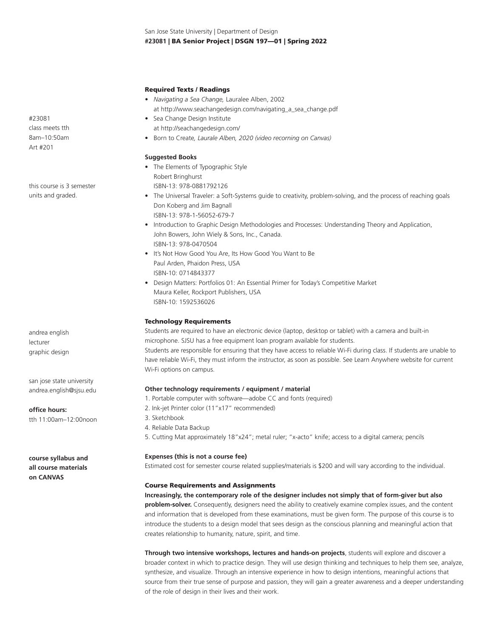San Jose State University | Department of Design **#23081** | BA Senior Project | DSGN 197—01 | Spring 2022

#### Required Texts / Readings

- *Navigating a Sea Change,* Lauralee Alben, 2002 at http://www.seachangedesign.com/navigating\_a\_sea\_change.pdf
- Sea Change Design Institute at http://seachangedesign.com/
- Born to Create*, Laurale Alben, 2020 (video recorning on Canvas)*

#### **Suggested Books**

- The Elements of Typographic Style Robert Bringhurst ISBN-13: 978-0881792126
- The Universal Traveler: a Soft-Systems guide to creativity, problem-solving, and the process of reaching goals Don Koberg and Jim Bagnall ISBN-13: 978-1-56052-679-7
- Introduction to Graphic Design Methodologies and Processes: Understanding Theory and Application, John Bowers, John Wiely & Sons, Inc., Canada. ISBN-13: 978-0470504
- It's Not How Good You Are, Its How Good You Want to Be Paul Arden, Phaidon Press, USA ISBN-10: 0714843377
- Design Matters: Portfolios 01: An Essential Primer for Today's Competitive Market Maura Keller, Rockport Publishers, USA ISBN-10: 1592536026

#### Technology Requirements

Students are required to have an electronic device (laptop, desktop or tablet) with a camera and built-in microphone. SJSU has a free equipment loan program available for students. Students are responsible for ensuring that they have access to reliable Wi-Fi during class. If students are unable to have reliable Wi-Fi, they must inform the instructor, as soon as possible. See Learn Anywhere website for current Wi-Fi options on campus.

## **Other technology requirements / equipment / material**

- 1. Portable computer with software—adobe CC and fonts (required)
- 2. Ink-jet Printer color (11"x17" recommended)
- 3. Sketchbook
- 4. Reliable Data Backup
- 5. Cutting Mat approximately 18"x24"; metal ruler; "x-acto" knife; access to a digital camera; pencils

#### **Expenses (this is not a course fee)**

Estimated cost for semester course related supplies/materials is \$200 and will vary according to the individual.

#### Course Requirements and Assignments

**Increasingly, the contemporary role of the designer includes not simply that of form-giver but also problem-solver.** Consequently, designers need the ability to creatively examine complex issues, and the content and information that is developed from these examinations, must be given form. The purpose of this course is to introduce the students to a design model that sees design as the conscious planning and meaningful action that creates relationship to humanity, nature, spirit, and time.

**Through two intensive workshops, lectures and hands-on projects**, students will explore and discover a broader context in which to practice design. They will use design thinking and techniques to help them see, analyze, synthesize, and visualize. Through an intensive experience in how to design intentions, meaningful actions that source from their true sense of purpose and passion, they will gain a greater awareness and a deeper understanding of the role of design in their lives and their work.

#23081 class meets tth 8am–10:50am Art #201

this course is 3 semester units and graded.

andrea english lecturer graphic design

san jose state university andrea.english@sjsu.edu

**office hours:**

tth 11:00am–12:00noon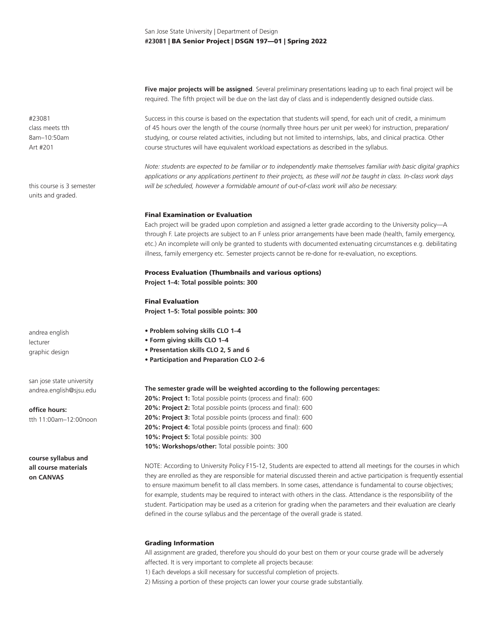**Five major projects will be assigned**. Several preliminary presentations leading up to each final project will be required. The fifth project will be due on the last day of class and is independently designed outside class.

Success in this course is based on the expectation that students will spend, for each unit of credit, a minimum of 45 hours over the length of the course (normally three hours per unit per week) for instruction, preparation/ studying, or course related activities, including but not limited to internships, labs, and clinical practica. Other course structures will have equivalent workload expectations as described in the syllabus.

*Note: students are expected to be familiar or to independently make themselves familiar with basic digital graphics applications or any applications pertinent to their projects, as these will not be taught in class. In-class work days will be scheduled, however a formidable amount of out-of-class work will also be necessary.* 

#### Final Examination or Evaluation

Each project will be graded upon completion and assigned a letter grade according to the University policy—A through F. Late projects are subject to an F unless prior arrangements have been made (health, family emergency, etc.) An incomplete will only be granted to students with documented extenuating circumstances e.g. debilitating illness, family emergency etc. Semester projects cannot be re-done for re-evaluation, no exceptions.

## Process Evaluation (Thumbnails and various options) **Project 1–4: Total possible points: 300**

Final Evaluation **Project 1–5: Total possible points: 300**

- **Problem solving skills CLO 1–4**
- **Form giving skills CLO 1–4**
- **Presentation skills CLO 2, 5 and 6**
- **Participation and Preparation CLO 2–6**

**The semester grade will be weighted according to the following percentages:**

**20%: Project 1:** Total possible points (process and final): 600 **20%: Project 2:** Total possible points (process and final): 600 **20%: Project 3:** Total possible points (process and final): 600 **20%: Project 4:** Total possible points (process and final): 600 **10%: Project 5:** Total possible points: 300 10%: Workshops/other: Total possible points: 300

NOTE: According to University Policy F15-12, Students are expected to attend all meetings for the courses in which they are enrolled as they are responsible for material discussed therein and active participation is frequently essential to ensure maximum benefit to all class members. In some cases, attendance is fundamental to course objectives; for example, students may be required to interact with others in the class. Attendance is the responsibility of the student. Participation may be used as a criterion for grading when the parameters and their evaluation are clearly defined in the course syllabus and the percentage of the overall grade is stated.

#### Grading Information

All assignment are graded, therefore you should do your best on them or your course grade will be adversely affected. It is very important to complete all projects because:

1) Each develops a skill necessary for successful completion of projects.

2) Missing a portion of these projects can lower your course grade substantially.

#23081 class meets tth 8am–10:50am Art #201

this course is 3 semester units and graded.

andrea english lecturer graphic design

san jose state university andrea.english@sjsu.edu

**office hours:** tth 11:00am–12:00noon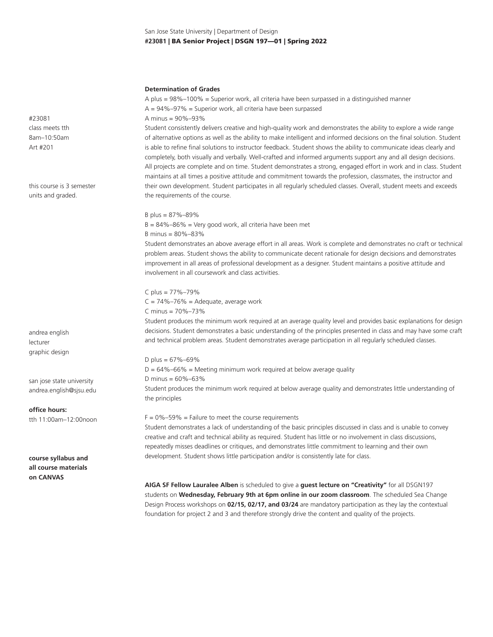## San Jose State University | Department of Design **#23081** | BA Senior Project | DSGN 197—01 | Spring 2022

#### **Determination of Grades**

A plus = 98%–100% = Superior work, all criteria have been surpassed in a distinguished manner  $A = 94\% - 97\% =$  Superior work, all criteria have been surpassed A minus = 90%–93% Student consistently delivers creative and high-quality work and demonstrates the ability to explore a wide range

of alternative options as well as the ability to make intelligent and informed decisions on the final solution. Student is able to refine final solutions to instructor feedback. Student shows the ability to communicate ideas clearly and completely, both visually and verbally. Well-crafted and informed arguments support any and all design decisions. All projects are complete and on time. Student demonstrates a strong, engaged effort in work and in class. Student maintains at all times a positive attitude and commitment towards the profession, classmates, the instructor and their own development. Student participates in all regularly scheduled classes. Overall, student meets and exceeds the requirements of the course.

## B plus = 87%–89%

 $B = 84\% - 86\% =$  Very good work, all criteria have been met B minus = 80%–83%

Student demonstrates an above average effort in all areas. Work is complete and demonstrates no craft or technical problem areas. Student shows the ability to communicate decent rationale for design decisions and demonstrates improvement in all areas of professional development as a designer. Student maintains a positive attitude and involvement in all coursework and class activities.

C plus = 77%–79%  $C = 74\% - 76\% =$  Adequate, average work C minus = 70%–73%

Student produces the minimum work required at an average quality level and provides basic explanations for design decisions. Student demonstrates a basic understanding of the principles presented in class and may have some craft and technical problem areas. Student demonstrates average participation in all regularly scheduled classes.

D plus =  $67\% - 69\%$  $D = 64\% - 66\% =$  Meeting minimum work required at below average quality D minus = 60%–63% Student produces the minimum work required at below average quality and demonstrates little understanding of the principles

 $F = 0\% - 59\% =$  Failure to meet the course requirements

Student demonstrates a lack of understanding of the basic principles discussed in class and is unable to convey creative and craft and technical ability as required. Student has little or no involvement in class discussions, repeatedly misses deadlines or critiques, and demonstrates little commitment to learning and their own development. Student shows little participation and/or is consistently late for class.

**AIGA SF Fellow Lauralee Alben** is scheduled to give a **guest lecture on "Creativity"** for all DSGN197 students on **Wednesday, February 9th at 6pm online in our zoom classroom**. The scheduled Sea Change Design Process workshops on **02/15, 02/17, and 03/24** are mandatory participation as they lay the contextual foundation for project 2 and 3 and therefore strongly drive the content and quality of the projects.

#23081 class meets tth 8am–10:50am Art #201

this course is 3 semester units and graded.

andrea english lecturer graphic design

san jose state university andrea.english@sjsu.edu

**office hours:** tth 11:00am–12:00noon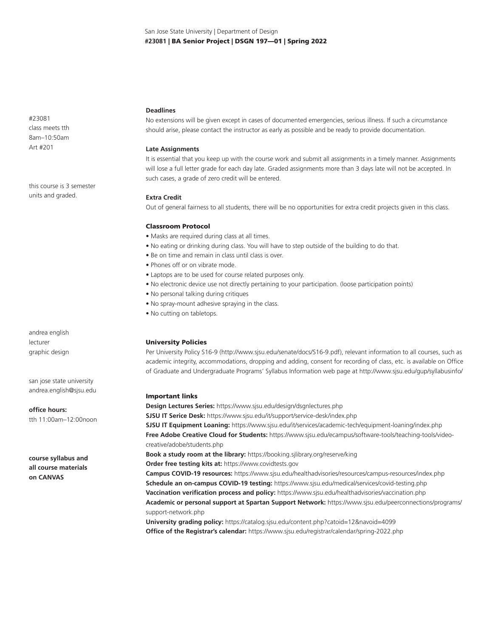#23081 class meets tth 8am–10:50am Art #201

this course is 3 semester units and graded.

andrea english lecturer graphic design

san jose state university andrea.english@sjsu.edu

**office hours:** tth 11:00am–12:00noon

**course syllabus and all course materials on CANVAS**

## **Deadlines**

No extensions will be given except in cases of documented emergencies, serious illness. If such a circumstance should arise, please contact the instructor as early as possible and be ready to provide documentation.

## **Late Assignments**

It is essential that you keep up with the course work and submit all assignments in a timely manner. Assignments will lose a full letter grade for each day late. Graded assignments more than 3 days late will not be accepted. In such cases, a grade of zero credit will be entered.

#### **Extra Credit**

Out of general fairness to all students, there will be no opportunities for extra credit projects given in this class.

## Classroom Protocol

- Masks are required during class at all times.
- No eating or drinking during class. You will have to step outside of the building to do that.
- Be on time and remain in class until class is over.
- Phones off or on vibrate mode.
- Laptops are to be used for course related purposes only.
- No electronic device use not directly pertaining to your participation. (loose participation points)
- No personal talking during critiques
- No spray-mount adhesive spraying in the class.
- No cutting on tabletops.

## University Policies

Per University Policy S16-9 (http://www.sjsu.edu/senate/docs/S16-9.pdf), relevant information to all courses, such as academic integrity, accommodations, dropping and adding, consent for recording of class, etc. is available on Office of Graduate and Undergraduate Programs' Syllabus Information web page at http://www.sjsu.edu/gup/syllabusinfo/

#### Important links

**Design Lectures Series:** https://www.sjsu.edu/design/dsgnlectures.php **SJSU IT Serice Desk:** https://www.sjsu.edu/it/support/service-desk/index.php **SJSU IT Equipment Loaning:** https://www.sjsu.edu/it/services/academic-tech/equipment-loaning/index.php **Free Adobe Creative Cloud for Students:** https://www.sjsu.edu/ecampus/software-tools/teaching-tools/videocreative/adobe/students.php **Book a study room at the library:** https://booking.sjlibrary.org/reserve/king **Order free testing kits at:** https://www.covidtests.gov **Campus COVID-19 resources:** https://www.sjsu.edu/healthadvisories/resources/campus-resources/index.php **Schedule an on-campus COVID-19 testing:** https://www.sjsu.edu/medical/services/covid-testing.php **Vaccination verification process and policy:** https://www.sjsu.edu/healthadvisories/vaccination.php **Academic or personal support at Spartan Support Network:** https://www.sjsu.edu/peerconnections/programs/ support-network.php **University grading policy:** https://catalog.sjsu.edu/content.php?catoid=12&navoid=4099 **Office of the Registrar's calendar:** https://www.sjsu.edu/registrar/calendar/spring-2022.php